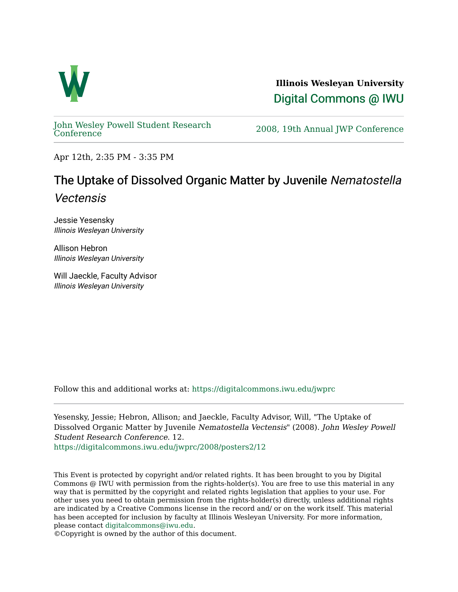

**Illinois Wesleyan University**  [Digital Commons @ IWU](https://digitalcommons.iwu.edu/) 

[John Wesley Powell Student Research](https://digitalcommons.iwu.edu/jwprc) 

2008, 19th Annual JWP [Conference](https://digitalcommons.iwu.edu/jwprc)

Apr 12th, 2:35 PM - 3:35 PM

## The Uptake of Dissolved Organic Matter by Juvenile Nematostella Vectensis

Jessie Yesensky Illinois Wesleyan University

Allison Hebron Illinois Wesleyan University

Will Jaeckle, Faculty Advisor Illinois Wesleyan University

Follow this and additional works at: [https://digitalcommons.iwu.edu/jwprc](https://digitalcommons.iwu.edu/jwprc?utm_source=digitalcommons.iwu.edu%2Fjwprc%2F2008%2Fposters2%2F12&utm_medium=PDF&utm_campaign=PDFCoverPages) 

Yesensky, Jessie; Hebron, Allison; and Jaeckle, Faculty Advisor, Will, "The Uptake of Dissolved Organic Matter by Juvenile Nematostella Vectensis" (2008). John Wesley Powell Student Research Conference. 12. [https://digitalcommons.iwu.edu/jwprc/2008/posters2/12](https://digitalcommons.iwu.edu/jwprc/2008/posters2/12?utm_source=digitalcommons.iwu.edu%2Fjwprc%2F2008%2Fposters2%2F12&utm_medium=PDF&utm_campaign=PDFCoverPages) 

This Event is protected by copyright and/or related rights. It has been brought to you by Digital Commons @ IWU with permission from the rights-holder(s). You are free to use this material in any way that is permitted by the copyright and related rights legislation that applies to your use. For other uses you need to obtain permission from the rights-holder(s) directly, unless additional rights are indicated by a Creative Commons license in the record and/ or on the work itself. This material has been accepted for inclusion by faculty at Illinois Wesleyan University. For more information, please contact [digitalcommons@iwu.edu.](mailto:digitalcommons@iwu.edu)

©Copyright is owned by the author of this document.